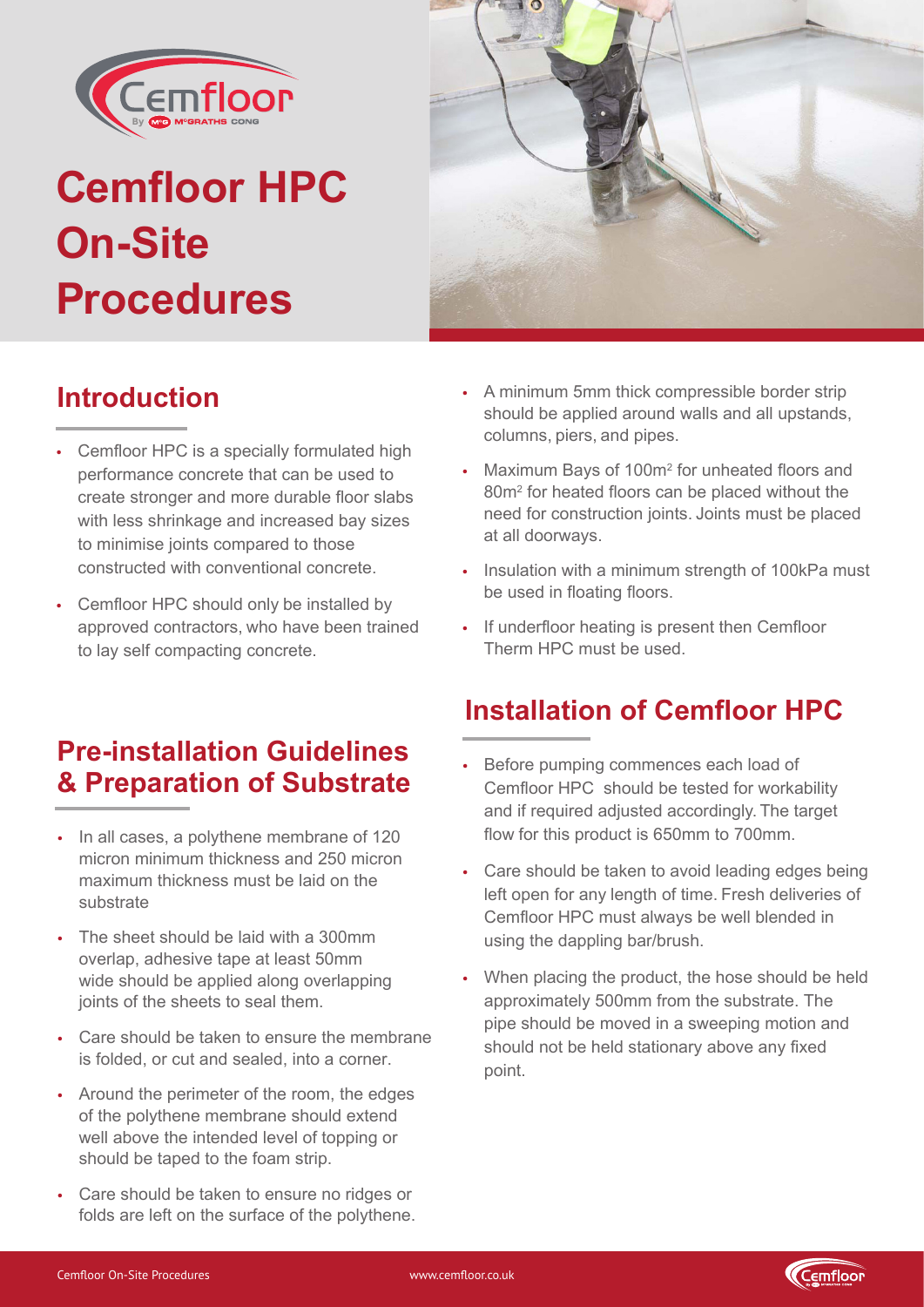

# **Cemfloor HPC On-Site Procedures**



#### **Introduction**

- Cemfloor HPC is a specially formulated high performance concrete that can be used to create stronger and more durable floor slabs with less shrinkage and increased bay sizes to minimise joints compared to those constructed with conventional concrete.
- Cemfloor HPC should only be installed by approved contractors, who have been trained to lay self compacting concrete.

#### **Pre-installation Guidelines & Preparation of Substrate**

- In all cases, a polythene membrane of 120 micron minimum thickness and 250 micron maximum thickness must be laid on the substrate
- The sheet should be laid with a 300mm overlap, adhesive tape at least 50mm wide should be applied along overlapping joints of the sheets to seal them.
- Care should be taken to ensure the membrane is folded, or cut and sealed, into a corner.
- Around the perimeter of the room, the edges of the polythene membrane should extend well above the intended level of topping or should be taped to the foam strip.
- Care should be taken to ensure no ridges or folds are left on the surface of the polythene.
- A minimum 5mm thick compressible border strip should be applied around walls and all upstands, columns, piers, and pipes.
- Maximum Bays of 100m<sup>2</sup> for unheated floors and 80m<sup>2</sup> for heated floors can be placed without the need for construction joints. Joints must be placed at all doorways.
- Insulation with a minimum strength of 100kPa must be used in floating floors.
- If underfloor heating is present then Cemfloor Therm HPC must be used.

### **Installation of Cemfloor HPC**

- Before pumping commences each load of Cemfloor HPC should be tested for workability and if required adjusted accordingly. The target flow for this product is 650mm to 700mm.
- Care should be taken to avoid leading edges being left open for any length of time. Fresh deliveries of Cemfloor HPC must always be well blended in using the dappling bar/brush.
- When placing the product, the hose should be held approximately 500mm from the substrate. The pipe should be moved in a sweeping motion and should not be held stationary above any fixed point.